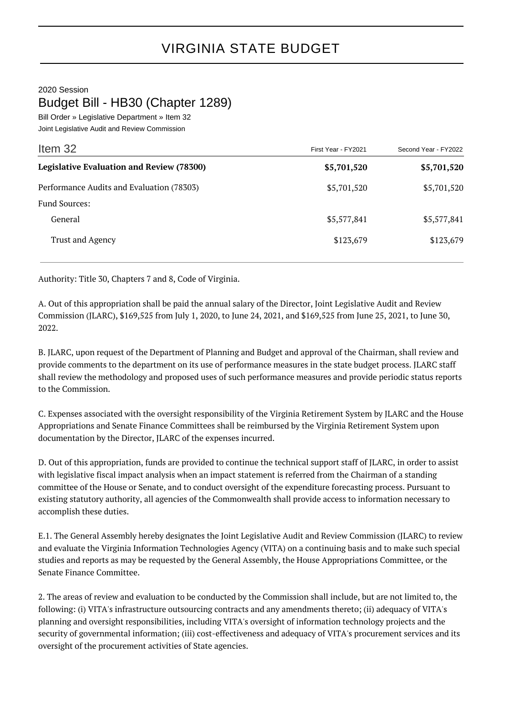2020 Session

## Budget Bill - HB30 (Chapter 1289)

Bill Order » Legislative Department » Item 32 Joint Legislative Audit and Review Commission

| Item 32                                          | First Year - FY2021 | Second Year - FY2022 |
|--------------------------------------------------|---------------------|----------------------|
| <b>Legislative Evaluation and Review (78300)</b> | \$5,701,520         | \$5,701,520          |
| Performance Audits and Evaluation (78303)        | \$5,701,520         | \$5,701,520          |
| <b>Fund Sources:</b>                             |                     |                      |
| General                                          | \$5,577,841         | \$5,577,841          |
| Trust and Agency                                 | \$123,679           | \$123,679            |

Authority: Title 30, Chapters 7 and 8, Code of Virginia.

A. Out of this appropriation shall be paid the annual salary of the Director, Joint Legislative Audit and Review Commission (JLARC), \$169,525 from July 1, 2020, to June 24, 2021, and \$169,525 from June 25, 2021, to June 30, 2022.

B. JLARC, upon request of the Department of Planning and Budget and approval of the Chairman, shall review and provide comments to the department on its use of performance measures in the state budget process. JLARC staff shall review the methodology and proposed uses of such performance measures and provide periodic status reports to the Commission.

C. Expenses associated with the oversight responsibility of the Virginia Retirement System by JLARC and the House Appropriations and Senate Finance Committees shall be reimbursed by the Virginia Retirement System upon documentation by the Director, JLARC of the expenses incurred.

D. Out of this appropriation, funds are provided to continue the technical support staff of JLARC, in order to assist with legislative fiscal impact analysis when an impact statement is referred from the Chairman of a standing committee of the House or Senate, and to conduct oversight of the expenditure forecasting process. Pursuant to existing statutory authority, all agencies of the Commonwealth shall provide access to information necessary to accomplish these duties.

E.1. The General Assembly hereby designates the Joint Legislative Audit and Review Commission (JLARC) to review and evaluate the Virginia Information Technologies Agency (VITA) on a continuing basis and to make such special studies and reports as may be requested by the General Assembly, the House Appropriations Committee, or the Senate Finance Committee.

2. The areas of review and evaluation to be conducted by the Commission shall include, but are not limited to, the following: (i) VITA's infrastructure outsourcing contracts and any amendments thereto; (ii) adequacy of VITA's planning and oversight responsibilities, including VITA's oversight of information technology projects and the security of governmental information; (iii) cost-effectiveness and adequacy of VITA's procurement services and its oversight of the procurement activities of State agencies.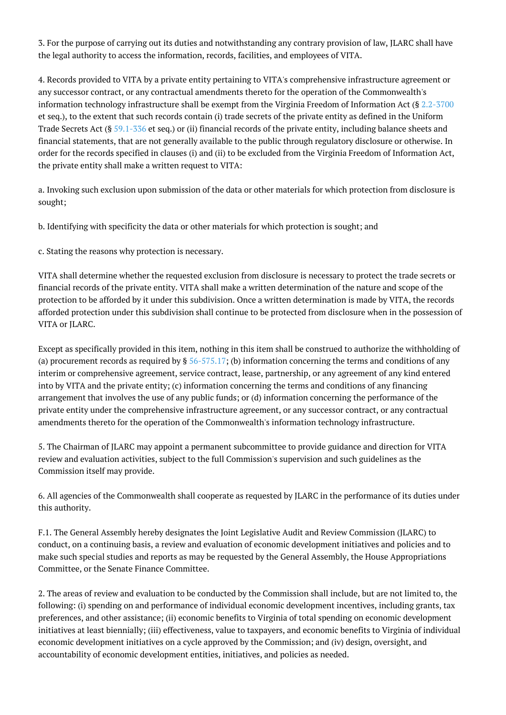3. For the purpose of carrying out its duties and notwithstanding any contrary provision of law, JLARC shall have the legal authority to access the information, records, facilities, and employees of VITA.

4. Records provided to VITA by a private entity pertaining to VITA's comprehensive infrastructure agreement or any successor contract, or any contractual amendments thereto for the operation of the Commonwealth's information technology infrastructure shall be exempt from the Virginia Freedom of Information Act (§ [2.2-3700](http://law.lis.virginia.gov/vacode/2.2-3700/) et seq.), to the extent that such records contain (i) trade secrets of the private entity as defined in the Uniform Trade Secrets Act (§ [59.1-336](http://law.lis.virginia.gov/vacode/59.1-336/) et seq.) or (ii) financial records of the private entity, including balance sheets and financial statements, that are not generally available to the public through regulatory disclosure or otherwise. In order for the records specified in clauses (i) and (ii) to be excluded from the Virginia Freedom of Information Act, the private entity shall make a written request to VITA:

a. Invoking such exclusion upon submission of the data or other materials for which protection from disclosure is sought;

b. Identifying with specificity the data or other materials for which protection is sought; and

c. Stating the reasons why protection is necessary.

VITA shall determine whether the requested exclusion from disclosure is necessary to protect the trade secrets or financial records of the private entity. VITA shall make a written determination of the nature and scope of the protection to be afforded by it under this subdivision. Once a written determination is made by VITA, the records afforded protection under this subdivision shall continue to be protected from disclosure when in the possession of VITA or ILARC.

Except as specifically provided in this item, nothing in this item shall be construed to authorize the withholding of (a) procurement records as required by  $\S$  [56-575.17;](http://law.lis.virginia.gov/vacode/56-575.17/) (b) information concerning the terms and conditions of any interim or comprehensive agreement, service contract, lease, partnership, or any agreement of any kind entered into by VITA and the private entity; (c) information concerning the terms and conditions of any financing arrangement that involves the use of any public funds; or (d) information concerning the performance of the private entity under the comprehensive infrastructure agreement, or any successor contract, or any contractual amendments thereto for the operation of the Commonwealth's information technology infrastructure.

5. The Chairman of JLARC may appoint a permanent subcommittee to provide guidance and direction for VITA review and evaluation activities, subject to the full Commission's supervision and such guidelines as the Commission itself may provide.

6. All agencies of the Commonwealth shall cooperate as requested by JLARC in the performance of its duties under this authority.

F.1. The General Assembly hereby designates the Joint Legislative Audit and Review Commission (JLARC) to conduct, on a continuing basis, a review and evaluation of economic development initiatives and policies and to make such special studies and reports as may be requested by the General Assembly, the House Appropriations Committee, or the Senate Finance Committee.

2. The areas of review and evaluation to be conducted by the Commission shall include, but are not limited to, the following: (i) spending on and performance of individual economic development incentives, including grants, tax preferences, and other assistance; (ii) economic benefits to Virginia of total spending on economic development initiatives at least biennially; (iii) effectiveness, value to taxpayers, and economic benefits to Virginia of individual economic development initiatives on a cycle approved by the Commission; and (iv) design, oversight, and accountability of economic development entities, initiatives, and policies as needed.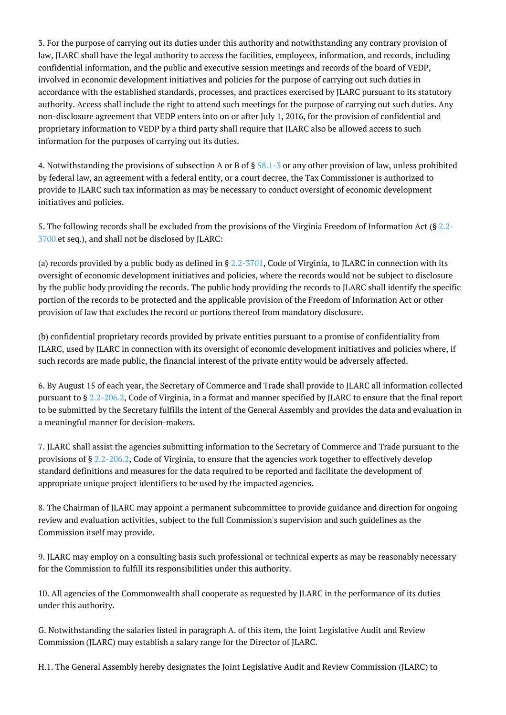3. For the purpose of carrying out its duties under this authority and notwithstanding any contrary provision of law, JLARC shall have the legal authority to access the facilities, employees, information, and records, including confidential information, and the public and executive session meetings and records of the board of VEDP, involved in economic development initiatives and policies for the purpose of carrying out such duties in accordance with the established standards, processes, and practices exercised by JLARC pursuant to its statutory authority. Access shall include the right to attend such meetings for the purpose of carrying out such duties. Any non-disclosure agreement that VEDP enters into on or after July 1, 2016, for the provision of confidential and proprietary information to VEDP by a third party shall require that JLARC also be allowed access to such information for the purposes of carrying out its duties.

4. Notwithstanding the provisions of subsection A or B of § [58.1-3](http://law.lis.virginia.gov/vacode/58.1-3/) or any other provision of law, unless prohibited by federal law, an agreement with a federal entity, or a court decree, the Tax Commissioner is authorized to provide to JLARC such tax information as may be necessary to conduct oversight of economic development initiatives and policies.

5. The following records shall be excluded from the provisions of the Virginia Freedom of Information Act (§ [2.2-](http://law.lis.virginia.gov/vacode/2.2-3700/) [3700](http://law.lis.virginia.gov/vacode/2.2-3700/) et seq.), and shall not be disclosed by JLARC:

(a) records provided by a public body as defined in  $\S 2.2 - 3701$ , Code of Virginia, to JLARC in connection with its oversight of economic development initiatives and policies, where the records would not be subject to disclosure by the public body providing the records. The public body providing the records to JLARC shall identify the specific portion of the records to be protected and the applicable provision of the Freedom of Information Act or other provision of law that excludes the record or portions thereof from mandatory disclosure.

(b) confidential proprietary records provided by private entities pursuant to a promise of confidentiality from JLARC, used by JLARC in connection with its oversight of economic development initiatives and policies where, if such records are made public, the financial interest of the private entity would be adversely affected.

6. By August 15 of each year, the Secretary of Commerce and Trade shall provide to JLARC all information collected pursuant to § [2.2-206.2](http://law.lis.virginia.gov/vacode/2.2-206.2/), Code of Virginia, in a format and manner specified by JLARC to ensure that the final report to be submitted by the Secretary fulfills the intent of the General Assembly and provides the data and evaluation in a meaningful manner for decision-makers.

7. JLARC shall assist the agencies submitting information to the Secretary of Commerce and Trade pursuant to the provisions of § [2.2-206.2,](http://law.lis.virginia.gov/vacode/2.2-206.2/) Code of Virginia, to ensure that the agencies work together to effectively develop standard definitions and measures for the data required to be reported and facilitate the development of appropriate unique project identifiers to be used by the impacted agencies.

8. The Chairman of JLARC may appoint a permanent subcommittee to provide guidance and direction for ongoing review and evaluation activities, subject to the full Commission's supervision and such guidelines as the Commission itself may provide.

9. JLARC may employ on a consulting basis such professional or technical experts as may be reasonably necessary for the Commission to fulfill its responsibilities under this authority.

10. All agencies of the Commonwealth shall cooperate as requested by JLARC in the performance of its duties under this authority.

G. Notwithstanding the salaries listed in paragraph A. of this item, the Joint Legislative Audit and Review Commission (JLARC) may establish a salary range for the Director of JLARC.

H.1. The General Assembly hereby designates the Joint Legislative Audit and Review Commission (JLARC) to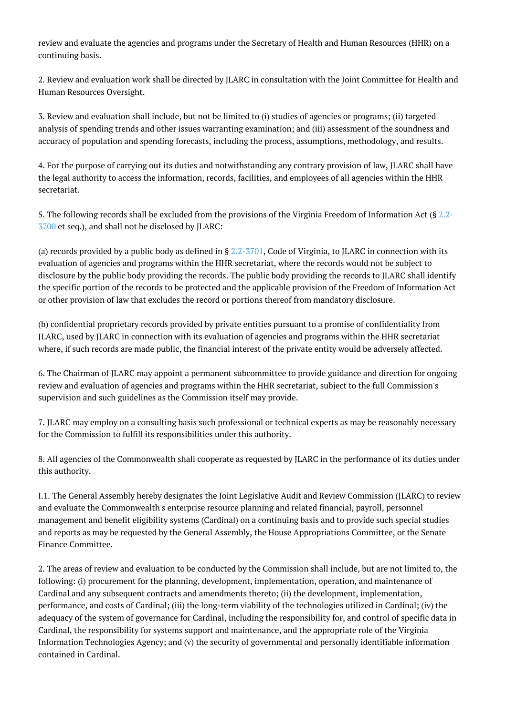review and evaluate the agencies and programs under the Secretary of Health and Human Resources (HHR) on a continuing basis.

2. Review and evaluation work shall be directed by JLARC in consultation with the Joint Committee for Health and Human Resources Oversight.

3. Review and evaluation shall include, but not be limited to (i) studies of agencies or programs; (ii) targeted analysis of spending trends and other issues warranting examination; and (iii) assessment of the soundness and accuracy of population and spending forecasts, including the process, assumptions, methodology, and results.

4. For the purpose of carrying out its duties and notwithstanding any contrary provision of law, JLARC shall have the legal authority to access the information, records, facilities, and employees of all agencies within the HHR secretariat.

5. The following records shall be excluded from the provisions of the Virginia Freedom of Information Act (§ [2.2-](http://law.lis.virginia.gov/vacode/2.2-3700/) [3700](http://law.lis.virginia.gov/vacode/2.2-3700/) et seq.), and shall not be disclosed by JLARC:

(a) records provided by a public body as defined in  $\S 2.2 - 3701$ , Code of Virginia, to JLARC in connection with its evaluation of agencies and programs within the HHR secretariat, where the records would not be subject to disclosure by the public body providing the records. The public body providing the records to JLARC shall identify the specific portion of the records to be protected and the applicable provision of the Freedom of Information Act or other provision of law that excludes the record or portions thereof from mandatory disclosure.

(b) confidential proprietary records provided by private entities pursuant to a promise of confidentiality from JLARC, used by JLARC in connection with its evaluation of agencies and programs within the HHR secretariat where, if such records are made public, the financial interest of the private entity would be adversely affected.

6. The Chairman of JLARC may appoint a permanent subcommittee to provide guidance and direction for ongoing review and evaluation of agencies and programs within the HHR secretariat, subject to the full Commission's supervision and such guidelines as the Commission itself may provide.

7. JLARC may employ on a consulting basis such professional or technical experts as may be reasonably necessary for the Commission to fulfill its responsibilities under this authority.

8. All agencies of the Commonwealth shall cooperate as requested by JLARC in the performance of its duties under this authority.

I.1. The General Assembly hereby designates the Joint Legislative Audit and Review Commission (JLARC) to review and evaluate the Commonwealth's enterprise resource planning and related financial, payroll, personnel management and benefit eligibility systems (Cardinal) on a continuing basis and to provide such special studies and reports as may be requested by the General Assembly, the House Appropriations Committee, or the Senate Finance Committee.

2. The areas of review and evaluation to be conducted by the Commission shall include, but are not limited to, the following: (i) procurement for the planning, development, implementation, operation, and maintenance of Cardinal and any subsequent contracts and amendments thereto; (ii) the development, implementation, performance, and costs of Cardinal; (iii) the long-term viability of the technologies utilized in Cardinal; (iv) the adequacy of the system of governance for Cardinal, including the responsibility for, and control of specific data in Cardinal, the responsibility for systems support and maintenance, and the appropriate role of the Virginia Information Technologies Agency; and (v) the security of governmental and personally identifiable information contained in Cardinal.